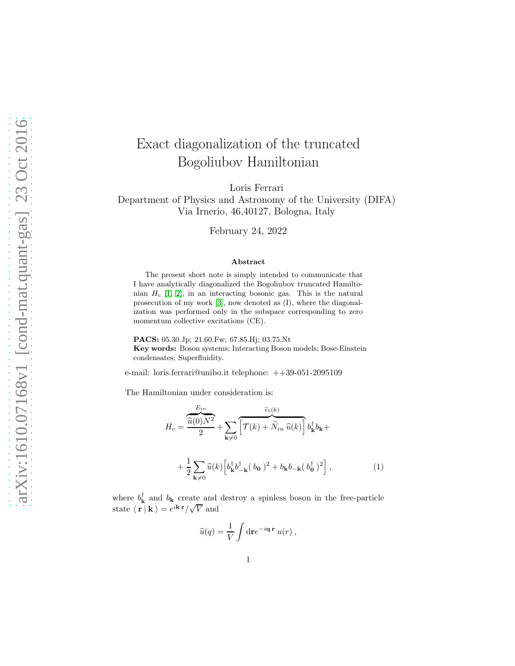## Exact diagonalization of the truncated Bogoliubov Hamiltonian

Loris Ferrari

Department of Physics and Astronomy of the University (DIFA) Via Irnerio, 46,40127, Bologna, Italy

February 24, 2022

## Abstract

The present short note is simply intended to communicate that I have analytically diagonalized the Bogoliubov truncated Hamiltonian  $H_c$  [\[1,](#page-5-0) [2\]](#page-5-1), in an interacting bosonic gas. This is the natural prosecution of my work [\[3\]](#page-6-0), now denoted as (I), where the diagonalization was performed only in the subspace corresponding to zero momentum collective excitations (CE).

PACS: 05.30.Jp; 21.60.Fw; 67.85.Hj; 03.75.Nt

Key words: Boson systems; Interacting Boson models; Bose-Einstein condensates; Superfluidity.

e-mail: loris.ferrari@unibo.it telephone: ++39-051-2095109

The Hamiltonian under consideration is:

2

$$
H_c = \frac{\widehat{u}(0)N^2}{2} + \sum_{\mathbf{k}\neq 0} \overline{\left[\mathcal{T}(k) + \widetilde{N}_{in} \widehat{u}(k)\right]} b_{\mathbf{k}}^\dagger b_{\mathbf{k}} + \frac{1}{2} \sum_{\mathbf{k}\neq 0} \widehat{u}(k) \left[b_{\mathbf{k}}^\dagger b_{-\mathbf{k}}^\dagger (b_0)^2 + b_{\mathbf{k}} b_{-\mathbf{k}} (b_0^\dagger)^2\right],
$$
\n(1)

where  $b_{\mathbf{k}}^{\dagger}$  and  $b_{\mathbf{k}}$  create and destroy a spinless boson in the free-particle state  $\langle \mathbf{r} | \mathbf{k} \rangle = e^{i \mathbf{k} \cdot \mathbf{r}} / \sqrt{V}$  and

<span id="page-0-0"></span>
$$
\widehat{u}(q) = \frac{1}{V} \int \mathrm{d}\mathbf{r} e^{-i\mathbf{q}\cdot\mathbf{r}} u(r) ,
$$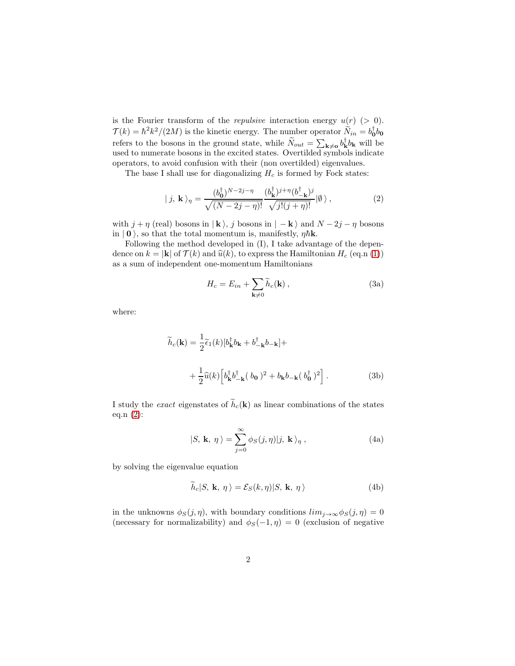is the Fourier transform of the *repulsive* interaction energy  $u(r)$  (> 0).  $\mathcal{T}(k) = \hbar^2 k^2/(2M)$  is the kinetic energy. The number operator  $\widetilde{N}_{in} = b_0^{\dagger} b_0$ refers to the bosons in the ground state, while  $\widetilde{N}_{out} = \sum_{\mathbf{k}\neq\mathbf{0}} b_{\mathbf{k}}^{\dagger} b_{\mathbf{k}}$  will be used to numerate bosons in the excited states. Overtilded symbols indicate operators, to avoid confusion with their (non overtilded) eigenvalues.

The base I shall use for diagonalizing  $H_c$  is formed by Fock states:

<span id="page-1-0"></span>
$$
|j, \mathbf{k}\rangle_{\eta} = \frac{(b_{\mathbf{0}}^{\dagger})^{N-2j-\eta}}{\sqrt{(N-2j-\eta)!}} \frac{(b_{\mathbf{k}}^{\dagger})^{j+\eta} (b_{-\mathbf{k}}^{\dagger})^{j}}{\sqrt{j!(j+\eta)!}} |0\rangle ,
$$
 (2)

with  $j + \eta$  (real) bosons in  $|\mathbf{k}\rangle$ , j bosons in  $|-\mathbf{k}\rangle$  and  $N - 2j - \eta$  bosons in  $|0\rangle$ , so that the total momentum is, manifestly,  $\eta \hbar \mathbf{k}$ .

Following the method developed in (I), I take advantage of the dependence on  $k = |\mathbf{k}|$  of  $\mathcal{T}(k)$  and  $\widehat{u}(k)$ , to express the Hamiltonian  $H_c$  (eq.n [\(1\)](#page-0-0)) as a sum of independent one-momentum Hamiltonians

<span id="page-1-3"></span><span id="page-1-2"></span>
$$
H_c = E_{in} + \sum_{\mathbf{k} \neq 0} \widetilde{h}_c(\mathbf{k}), \qquad (3a)
$$

where:

$$
\widetilde{h}_c(\mathbf{k}) = \frac{1}{2} \widetilde{\epsilon}_1(k) [b_{\mathbf{k}}^\dagger b_{\mathbf{k}} + b_{-\mathbf{k}}^\dagger b_{-\mathbf{k}}] +
$$
  
+ 
$$
\frac{1}{2} \widehat{u}(k) \left[ b_{\mathbf{k}}^\dagger b_{-\mathbf{k}}^\dagger (b_0)^2 + b_{\mathbf{k}} b_{-\mathbf{k}} (b_0^\dagger)^2 \right].
$$
 (3b)

I study the exact eigenstates of  $\tilde{h}_c(\mathbf{k})$  as linear combinations of the states eq.n [\(2\)](#page-1-0):

<span id="page-1-1"></span>
$$
|S, \mathbf{k}, \eta \rangle = \sum_{j=0}^{\infty} \phi_S(j, \eta) |j, \mathbf{k} \rangle_{\eta}, \qquad (4a)
$$

by solving the eigenvalue equation

$$
\widetilde{h}_c|S, \mathbf{k}, \eta \rangle = \mathcal{E}_S(k, \eta)|S, \mathbf{k}, \eta \rangle \tag{4b}
$$

in the unknowns  $\phi_S(j, \eta)$ , with boundary conditions  $\lim_{j\to\infty}\phi_S(j, \eta) = 0$ (necessary for normalizability) and  $\phi_S(-1, \eta) = 0$  (exclusion of negative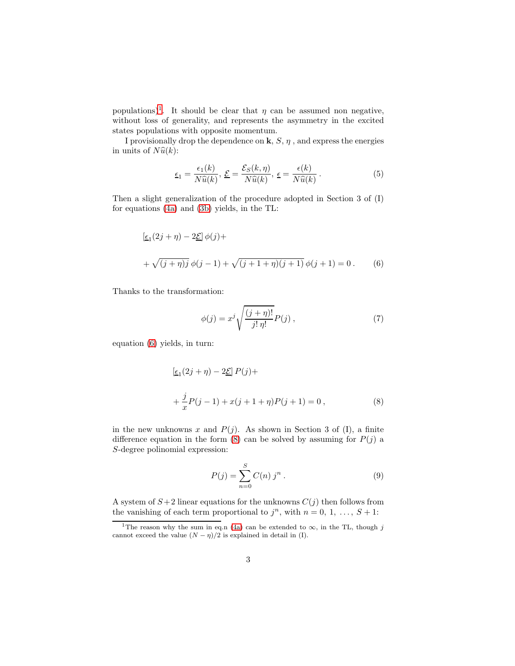populations)<sup>[1](#page-2-0)</sup>. It should be clear that  $\eta$  can be assumed non negative, without loss of generality, and represents the asymmetry in the excited states populations with opposite momentum.

I provisionally drop the dependence on  $\mathbf{k}, S, \eta$ , and express the energies in units of  $N\hat{u}(k)$ :

<span id="page-2-3"></span>
$$
\underline{\epsilon}_1 = \frac{\epsilon_1(k)}{N\widehat{u}(k)}, \ \underline{\mathcal{E}} = \frac{\mathcal{E}_S(k,\eta)}{N\widehat{u}(k)}, \ \underline{\epsilon} = \frac{\epsilon(k)}{N\widehat{u}(k)}.
$$

Then a slight generalization of the procedure adopted in Section 3 of (I) for equations [\(4a\)](#page-1-1) and [\(3b\)](#page-1-2) yields, in the TL:

$$
[\underline{\epsilon_1}(2j+\eta) - 2\underline{\mathcal{E}}] \phi(j) +
$$
  
+  $\sqrt{(j+\eta)j} \phi(j-1) + \sqrt{(j+1+\eta)(j+1)} \phi(j+1) = 0.$  (6)

Thanks to the transformation:

<span id="page-2-5"></span><span id="page-2-1"></span>
$$
\phi(j) = x^j \sqrt{\frac{(j+\eta)!}{j! \eta!}} P(j) , \qquad (7)
$$

equation [\(6\)](#page-2-1) yields, in turn:

$$
[\underline{\epsilon}_{1}(2j + \eta) - 2\underline{\mathcal{E}}] P(j) +
$$
  
+  $\frac{j}{x} P(j - 1) + x(j + 1 + \eta) P(j + 1) = 0,$  (8)

in the new unknowns x and  $P(j)$ . As shown in Section 3 of (I), a finite difference equation in the form [\(8\)](#page-2-2) can be solved by assuming for  $P(j)$  a S-degree polinomial expression:

<span id="page-2-4"></span><span id="page-2-2"></span>
$$
P(j) = \sum_{n=0}^{S} C(n) j^{n} .
$$
 (9)

A system of  $S+2$  linear equations for the unknowns  $C(j)$  then follows from the vanishing of each term proportional to  $j^n$ , with  $n = 0, 1, \ldots, S + 1$ :

<span id="page-2-0"></span><sup>&</sup>lt;sup>1</sup>The reason why the sum in eq.n [\(4a\)](#page-1-1) can be extended to  $\infty$ , in the TL, though j cannot exceed the value  $(N - \eta)/2$  is explained in detail in (I).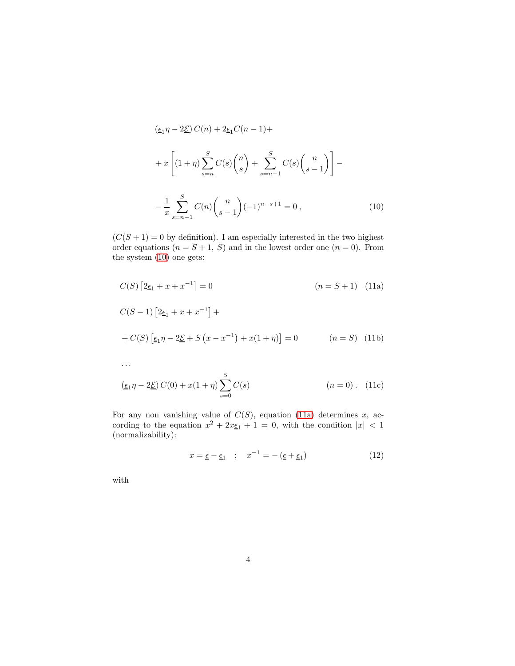<span id="page-3-0"></span>
$$
(\underline{\epsilon}_{1}\eta - 2\underline{\mathcal{E}}) C(n) + 2\underline{\epsilon}_{1}C(n-1) +
$$
  
+  $x \left[ (1+\eta) \sum_{s=n}^{S} C(s) {n \choose s} + \sum_{s=n-1}^{S} C(s) {n \choose s-1} \right] -$   
-  $\frac{1}{x} \sum_{s=n-1}^{S} C(n) {n \choose s-1} (-1)^{n-s+1} = 0,$  (10)

 $(C(S+1) = 0$  by definition). I am especially interested in the two highest order equations  $(n = S + 1, S)$  and in the lowest order one  $(n = 0)$ . From the system [\(10\)](#page-3-0) one gets:

$$
C(S) [2\underline{\epsilon}_{1} + x + x^{-1}] = 0 \qquad (n = S + 1) \quad (11a)
$$
  
\n
$$
C(S - 1) [2\underline{\epsilon}_{1} + x + x^{-1}] +
$$
  
\n
$$
+ C(S) [\underline{\epsilon}_{1}\eta - 2\underline{\mathcal{E}} + S (x - x^{-1}) + x(1 + \eta)] = 0 \qquad (n = S) \quad (11b)
$$
  
\n...

$$
(\underline{\epsilon_1}\eta - 2\underline{\mathcal{E}}) C(0) + x(1+\eta) \sum_{s=0}^{S} C(s)
$$
 (n = 0). (11c)

For any non vanishing value of  $C(S)$ , equation [\(11a\)](#page-3-1) determines x, according to the equation  $x^2 + 2x\epsilon_1 + 1 = 0$ , with the condition  $|x| < 1$ (normalizability):

<span id="page-3-4"></span><span id="page-3-3"></span><span id="page-3-2"></span><span id="page-3-1"></span>
$$
x = \underline{\epsilon} - \underline{\epsilon}_1 \quad ; \quad x^{-1} = -(\underline{\epsilon} + \underline{\epsilon}_1) \tag{12}
$$

with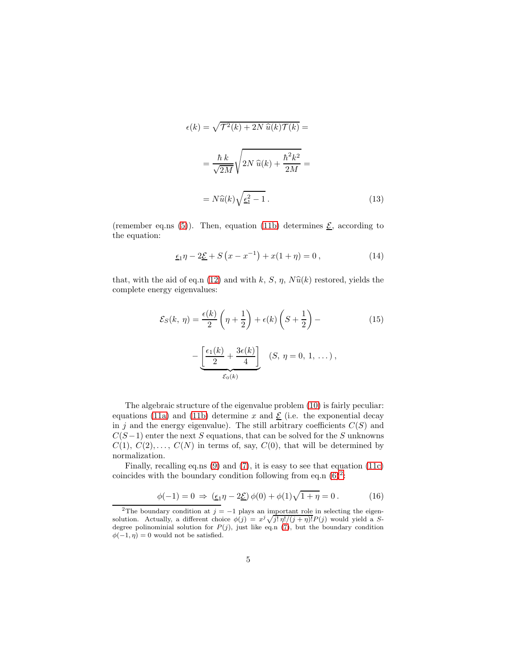$$
\epsilon(k) = \sqrt{\mathcal{T}^2(k) + 2N \,\hat{u}(k)\mathcal{T}(k)} =
$$

$$
= \frac{\hbar k}{\sqrt{2M}} \sqrt{2N \,\hat{u}(k) + \frac{\hbar^2 k^2}{2M}} =
$$

$$
= N\hat{u}(k) \sqrt{\epsilon_1^2 - 1} \,. \tag{13}
$$

(remember eq.ns [\(5\)](#page-2-3)). Then, equation [\(11b\)](#page-3-2) determines  $\underline{\mathcal{E}}$ , according to the equation:

<span id="page-4-1"></span>
$$
\underline{\epsilon_1}\eta - 2\underline{\mathcal{E}} + S(x - x^{-1}) + x(1 + \eta) = 0, \qquad (14)
$$

that, with the aid of eq.n [\(12\)](#page-3-3) and with k, S,  $\eta$ ,  $N\hat{u}(k)$  restored, yields the complete energy eigenvalues:

$$
\mathcal{E}_S(k, \eta) = \frac{\epsilon(k)}{2} \left( \eta + \frac{1}{2} \right) + \epsilon(k) \left( S + \frac{1}{2} \right) -
$$
\n
$$
- \underbrace{\left[ \frac{\epsilon_1(k)}{2} + \frac{3\epsilon(k)}{4} \right]}_{\mathcal{E}_0(k)} \quad (S, \eta = 0, 1, \dots),
$$
\n(15)

The algebraic structure of the eigenvalue problem [\(10\)](#page-3-0) is fairly peculiar: equations [\(11a\)](#page-3-1) and [\(11b\)](#page-3-2) determine x and  $\underline{\mathcal{E}}$  (i.e. the exponential decay in j and the energy eigenvalue). The still arbitrary coefficients  $C(S)$  and  $C(S-1)$  enter the next S equations, that can be solved for the S unknowns  $C(1), C(2), \ldots, C(N)$  in terms of, say,  $C(0)$ , that will be determined by normalization.

Finally, recalling eq.ns [\(9\)](#page-2-4) and [\(7\)](#page-2-5), it is easy to see that equation [\(11c\)](#page-3-4) coincides with the boundary condition following from eq.n  $(6)^2$  $(6)^2$ :

$$
\phi(-1) = 0 \implies (\underline{\epsilon}_1 \eta - 2\underline{\mathcal{E}}) \phi(0) + \phi(1)\sqrt{1 + \eta} = 0. \tag{16}
$$

<span id="page-4-0"></span><sup>&</sup>lt;sup>2</sup>The boundary condition at  $j = -1$  plays an important role in selecting the eigensolution. Actually, a different choice  $\phi(j) = x^j \sqrt{j! \eta! (j + \eta)!} P(j)$  would yield a Sdegree polinominial solution for  $P(j)$ , just like eq.n [\(7\)](#page-2-5), but the boundary condition  $\phi(-1, \eta) = 0$  would not be satisfied.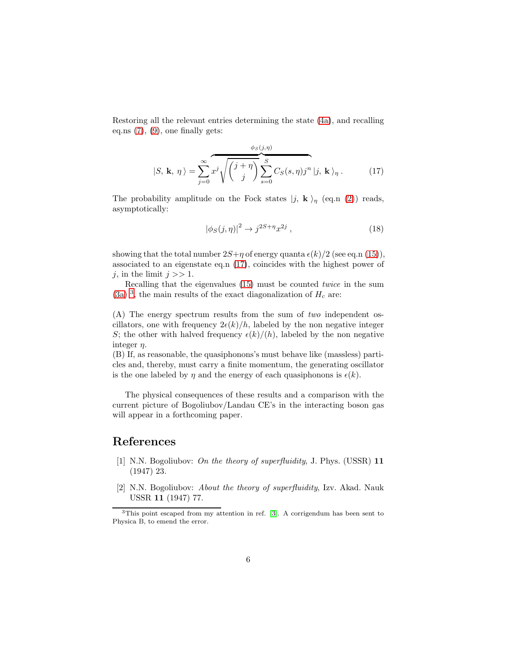Restoring all the relevant entries determining the state [\(4a\)](#page-1-1), and recalling eq.ns  $(7)$ ,  $(9)$ , one finally gets:

<span id="page-5-2"></span>
$$
|S, \mathbf{k}, \eta \rangle = \sum_{j=0}^{\infty} x^j \sqrt{\binom{j+\eta}{j}} \sum_{s=0}^S C_S(s, \eta) j^n |j, \mathbf{k} \rangle_{\eta}.
$$
 (17)

The probability amplitude on the Fock states  $|j, \mathbf{k} \rangle_n$  (eq.n [\(2\)](#page-1-0)) reads, asymptotically:

$$
\left|\phi_S(j,\eta)\right|^2 \to j^{2S+\eta} x^{2j} ,\qquad (18)
$$

showing that the total number  $2S+\eta$  of energy quanta  $\epsilon(k)/2$  (see eq.n [\(15\)](#page-4-1)), associated to an eigenstate eq.n [\(17\)](#page-5-2), coincides with the highest power of j, in the limit  $j \gg 1$ .

Recalling that the eigenvalues [\(15\)](#page-4-1) must be counted twice in the sum [\(3a\)](#page-1-3) <sup>[3](#page-5-3)</sup>, the main results of the exact diagonalization of  $H_c$  are:

(A) The energy spectrum results from the sum of two independent oscillators, one with frequency  $2\epsilon(k)/h$ , labeled by the non negative integer S; the other with halved frequency  $\epsilon(k)/(h)$ , labeled by the non negative integer  $\eta$ .

(B) If, as reasonable, the quasiphonons's must behave like (massless) particles and, thereby, must carry a finite momentum, the generating oscillator is the one labeled by  $\eta$  and the energy of each quasiphonons is  $\epsilon(k)$ .

The physical consequences of these results and a comparison with the current picture of Bogoliubov/Landau CE's in the interacting boson gas will appear in a forthcoming paper.

## <span id="page-5-0"></span>References

- [1] N.N. Bogoliubov: On the theory of superfluidity, J. Phys. (USSR) 11 (1947) 23.
- <span id="page-5-1"></span>[2] N.N. Bogoliubov: About the theory of superfluidity, Izv. Akad. Nauk USSR 11 (1947) 77.

<span id="page-5-3"></span><sup>3</sup>This point escaped from my attention in ref. [\[3\]](#page-6-0). A corrigendum has been sent to Physica B, to emend the error.